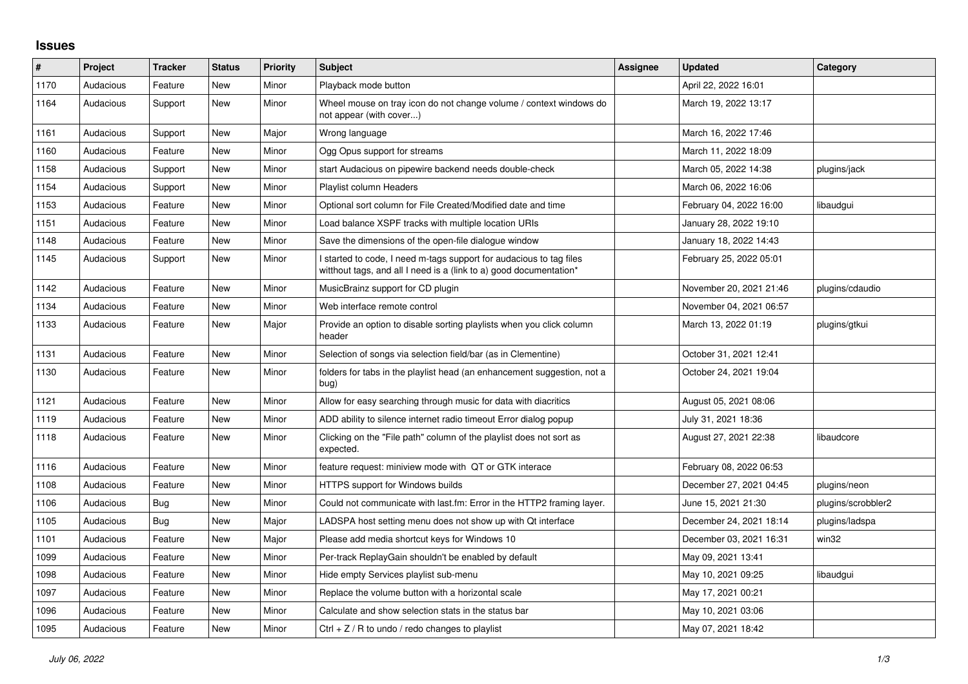## **Issues**

| $\sharp$ | Project   | <b>Tracker</b> | <b>Status</b> | <b>Priority</b> | <b>Subject</b>                                                                                                                            | Assignee | <b>Updated</b>          | Category           |
|----------|-----------|----------------|---------------|-----------------|-------------------------------------------------------------------------------------------------------------------------------------------|----------|-------------------------|--------------------|
| 1170     | Audacious | Feature        | <b>New</b>    | Minor           | Playback mode button                                                                                                                      |          | April 22, 2022 16:01    |                    |
| 1164     | Audacious | Support        | <b>New</b>    | Minor           | Wheel mouse on tray icon do not change volume / context windows do<br>not appear (with cover)                                             |          | March 19, 2022 13:17    |                    |
| 1161     | Audacious | Support        | New           | Major           | Wrong language                                                                                                                            |          | March 16, 2022 17:46    |                    |
| 1160     | Audacious | Feature        | New           | Minor           | Ogg Opus support for streams                                                                                                              |          | March 11, 2022 18:09    |                    |
| 1158     | Audacious | Support        | New           | Minor           | start Audacious on pipewire backend needs double-check                                                                                    |          | March 05, 2022 14:38    | plugins/jack       |
| 1154     | Audacious | Support        | New           | Minor           | <b>Playlist column Headers</b>                                                                                                            |          | March 06, 2022 16:06    |                    |
| 1153     | Audacious | Feature        | New           | Minor           | Optional sort column for File Created/Modified date and time                                                                              |          | February 04, 2022 16:00 | libaudgui          |
| 1151     | Audacious | Feature        | New           | Minor           | Load balance XSPF tracks with multiple location URIs                                                                                      |          | January 28, 2022 19:10  |                    |
| 1148     | Audacious | Feature        | New           | Minor           | Save the dimensions of the open-file dialogue window                                                                                      |          | January 18, 2022 14:43  |                    |
| 1145     | Audacious | Support        | New           | Minor           | I started to code, I need m-tags support for audacious to tag files<br>witthout tags, and all I need is a (link to a) good documentation* |          | February 25, 2022 05:01 |                    |
| 1142     | Audacious | Feature        | New           | Minor           | MusicBrainz support for CD plugin                                                                                                         |          | November 20, 2021 21:46 | plugins/cdaudio    |
| 1134     | Audacious | Feature        | New           | Minor           | Web interface remote control                                                                                                              |          | November 04, 2021 06:57 |                    |
| 1133     | Audacious | Feature        | New           | Major           | Provide an option to disable sorting playlists when you click column<br>header                                                            |          | March 13, 2022 01:19    | plugins/gtkui      |
| 1131     | Audacious | Feature        | <b>New</b>    | Minor           | Selection of songs via selection field/bar (as in Clementine)                                                                             |          | October 31, 2021 12:41  |                    |
| 1130     | Audacious | Feature        | New           | Minor           | folders for tabs in the playlist head (an enhancement suggestion, not a<br>bug)                                                           |          | October 24, 2021 19:04  |                    |
| 1121     | Audacious | Feature        | New           | Minor           | Allow for easy searching through music for data with diacritics                                                                           |          | August 05, 2021 08:06   |                    |
| 1119     | Audacious | Feature        | New           | Minor           | ADD ability to silence internet radio timeout Error dialog popup                                                                          |          | July 31, 2021 18:36     |                    |
| 1118     | Audacious | Feature        | New           | Minor           | Clicking on the "File path" column of the playlist does not sort as<br>expected.                                                          |          | August 27, 2021 22:38   | libaudcore         |
| 1116     | Audacious | Feature        | New           | Minor           | feature request: miniview mode with QT or GTK interace                                                                                    |          | February 08, 2022 06:53 |                    |
| 1108     | Audacious | Feature        | New           | Minor           | HTTPS support for Windows builds                                                                                                          |          | December 27, 2021 04:45 | plugins/neon       |
| 1106     | Audacious | Bug            | New           | Minor           | Could not communicate with last.fm: Error in the HTTP2 framing layer.                                                                     |          | June 15, 2021 21:30     | plugins/scrobbler2 |
| 1105     | Audacious | Bug            | New           | Major           | LADSPA host setting menu does not show up with Qt interface                                                                               |          | December 24, 2021 18:14 | plugins/ladspa     |
| 1101     | Audacious | Feature        | New           | Major           | Please add media shortcut keys for Windows 10                                                                                             |          | December 03, 2021 16:31 | win32              |
| 1099     | Audacious | Feature        | New           | Minor           | Per-track ReplayGain shouldn't be enabled by default                                                                                      |          | May 09, 2021 13:41      |                    |
| 1098     | Audacious | Feature        | New           | Minor           | Hide empty Services playlist sub-menu                                                                                                     |          | May 10, 2021 09:25      | libaudgui          |
| 1097     | Audacious | Feature        | New           | Minor           | Replace the volume button with a horizontal scale                                                                                         |          | May 17, 2021 00:21      |                    |
| 1096     | Audacious | Feature        | New           | Minor           | Calculate and show selection stats in the status bar                                                                                      |          | May 10, 2021 03:06      |                    |
| 1095     | Audacious | Feature        | New           | Minor           | Ctrl $+$ Z / R to undo / redo changes to playlist                                                                                         |          | May 07, 2021 18:42      |                    |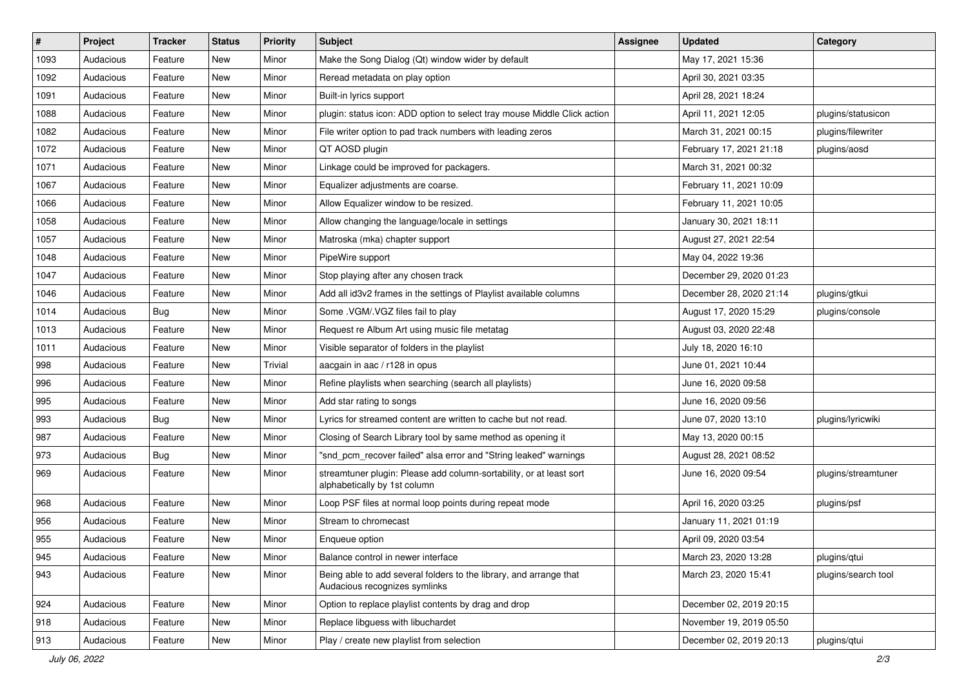| $\#$ | Project   | <b>Tracker</b> | <b>Status</b> | <b>Priority</b> | <b>Subject</b>                                                                                      | <b>Assignee</b> | <b>Updated</b>          | Category            |
|------|-----------|----------------|---------------|-----------------|-----------------------------------------------------------------------------------------------------|-----------------|-------------------------|---------------------|
| 1093 | Audacious | Feature        | New           | Minor           | Make the Song Dialog (Qt) window wider by default                                                   |                 | May 17, 2021 15:36      |                     |
| 1092 | Audacious | Feature        | <b>New</b>    | Minor           | Reread metadata on play option                                                                      |                 | April 30, 2021 03:35    |                     |
| 1091 | Audacious | Feature        | New           | Minor           | Built-in lyrics support                                                                             |                 | April 28, 2021 18:24    |                     |
| 1088 | Audacious | Feature        | New           | Minor           | plugin: status icon: ADD option to select tray mouse Middle Click action                            |                 | April 11, 2021 12:05    | plugins/statusicon  |
| 1082 | Audacious | Feature        | New           | Minor           | File writer option to pad track numbers with leading zeros                                          |                 | March 31, 2021 00:15    | plugins/filewriter  |
| 1072 | Audacious | Feature        | New           | Minor           | QT AOSD plugin                                                                                      |                 | February 17, 2021 21:18 | plugins/aosd        |
| 1071 | Audacious | Feature        | <b>New</b>    | Minor           | Linkage could be improved for packagers.                                                            |                 | March 31, 2021 00:32    |                     |
| 1067 | Audacious | Feature        | New           | Minor           | Equalizer adjustments are coarse.                                                                   |                 | February 11, 2021 10:09 |                     |
| 1066 | Audacious | Feature        | New           | Minor           | Allow Equalizer window to be resized.                                                               |                 | February 11, 2021 10:05 |                     |
| 1058 | Audacious | Feature        | <b>New</b>    | Minor           | Allow changing the language/locale in settings                                                      |                 | January 30, 2021 18:11  |                     |
| 1057 | Audacious | Feature        | New           | Minor           | Matroska (mka) chapter support                                                                      |                 | August 27, 2021 22:54   |                     |
| 1048 | Audacious | Feature        | New           | Minor           | PipeWire support                                                                                    |                 | May 04, 2022 19:36      |                     |
| 1047 | Audacious | Feature        | New           | Minor           | Stop playing after any chosen track                                                                 |                 | December 29, 2020 01:23 |                     |
| 1046 | Audacious | Feature        | New           | Minor           | Add all id3v2 frames in the settings of Playlist available columns                                  |                 | December 28, 2020 21:14 | plugins/gtkui       |
| 1014 | Audacious | <b>Bug</b>     | <b>New</b>    | Minor           | Some .VGM/.VGZ files fail to play                                                                   |                 | August 17, 2020 15:29   | plugins/console     |
| 1013 | Audacious | Feature        | New           | Minor           | Request re Album Art using music file metatag                                                       |                 | August 03, 2020 22:48   |                     |
| 1011 | Audacious | Feature        | New           | Minor           | Visible separator of folders in the playlist                                                        |                 | July 18, 2020 16:10     |                     |
| 998  | Audacious | Feature        | New           | Trivial         | aacgain in aac / r128 in opus                                                                       |                 | June 01, 2021 10:44     |                     |
| 996  | Audacious | Feature        | New           | Minor           | Refine playlists when searching (search all playlists)                                              |                 | June 16, 2020 09:58     |                     |
| 995  | Audacious | Feature        | New           | Minor           | Add star rating to songs                                                                            |                 | June 16, 2020 09:56     |                     |
| 993  | Audacious | Bug            | New           | Minor           | Lyrics for streamed content are written to cache but not read.                                      |                 | June 07, 2020 13:10     | plugins/lyricwiki   |
| 987  | Audacious | Feature        | New           | Minor           | Closing of Search Library tool by same method as opening it                                         |                 | May 13, 2020 00:15      |                     |
| 973  | Audacious | <b>Bug</b>     | New           | Minor           | "snd_pcm_recover failed" alsa error and "String leaked" warnings                                    |                 | August 28, 2021 08:52   |                     |
| 969  | Audacious | Feature        | New           | Minor           | streamtuner plugin: Please add column-sortability, or at least sort<br>alphabetically by 1st column |                 | June 16, 2020 09:54     | plugins/streamtuner |
| 968  | Audacious | Feature        | New           | Minor           | Loop PSF files at normal loop points during repeat mode                                             |                 | April 16, 2020 03:25    | plugins/psf         |
| 956  | Audacious | Feature        | New           | Minor           | Stream to chromecast                                                                                |                 | January 11, 2021 01:19  |                     |
| 955  | Audacious | Feature        | New           | Minor           | Enqueue option                                                                                      |                 | April 09, 2020 03:54    |                     |
| 945  | Audacious | Feature        | New           | Minor           | Balance control in newer interface                                                                  |                 | March 23, 2020 13:28    | plugins/qtui        |
| 943  | Audacious | Feature        | New           | Minor           | Being able to add several folders to the library, and arrange that<br>Audacious recognizes symlinks |                 | March 23, 2020 15:41    | plugins/search tool |
| 924  | Audacious | Feature        | New           | Minor           | Option to replace playlist contents by drag and drop                                                |                 | December 02, 2019 20:15 |                     |
| 918  | Audacious | Feature        | New           | Minor           | Replace libguess with libuchardet                                                                   |                 | November 19, 2019 05:50 |                     |
| 913  | Audacious | Feature        | New           | Minor           | Play / create new playlist from selection                                                           |                 | December 02, 2019 20:13 | plugins/qtui        |